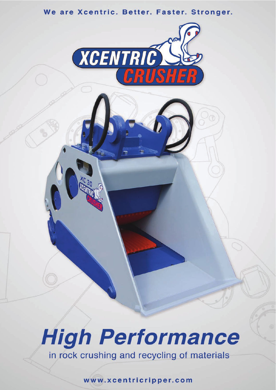



# **High Performance** in rock crushing and recycling of materials

www.xcentricripper.com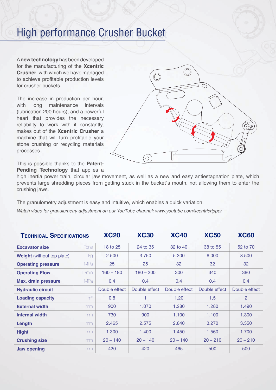### High performance Crusher Bucket

A **new technology** has been developed for the manufacturing of the **Xcentric Crusher**, with which we have managed to achieve profitable production levels for crusher buckets.

The increase in production per hour, with long maintenance intervals (lubrication 200 hours), and a powerful heart that provides the necessary reliability to work with it constantly, makes out of the **Xcentric Crusher** a machine that will turn profitable your stone crushing or recycling materials processes.

This is possible thanks to the **Patent-Pending Technology** that applies a

high inertia power train, circular jaw movement, as well as a new and easy antiestagnation plate, which prevents large shredding pieces from getting stuck in the bucket´s mouth, not allowing them to enter the crushing jaws.

The granulometry adjustment is easy and intuitive, which enables a quick variation.

*Watch video for granulometry adjustment on our YouTube channel: www.youtube.com/xcentricripper*

| <b>TECHNICAL SPECIFICATIONS</b>   |                | <b>XC20</b>   | <b>XC30</b>   | <b>XC40</b>   | <b>XC50</b>   | <b>XC60</b>   |
|-----------------------------------|----------------|---------------|---------------|---------------|---------------|---------------|
| <b>Excavator size</b>             | Tons:          | 18 to 25      | 24 to 35      | 32 to 40      | 38 to 55      | 52 to 70      |
| <b>Weight</b> (without top plate) | kg             | 2.500         | 3.750         | 5.300         | 6.000         | 8.500         |
| <b>Operating pressure</b>         | MPa            | 25            | 25            | 32            | 32            | 32            |
| <b>Operating Flow</b>             | $L/m$ in       | $160 - 180$   | $180 - 200$   | 300           | 340           | 380           |
| <b>Max. drain pressure</b>        | <b>MPa</b>     | 0,4           | 0,4           | 0,4           | 0,4           | 0,4           |
| <b>Hydraulic circuit</b>          |                | Double effect | Double effect | Double effect | Double effect | Double effect |
| <b>Loading capacity</b>           | m <sup>3</sup> | 0,8           | 1             | 1,20          | 1,5           | 2             |
| <b>External width</b>             | mm             | 900           | 1.070         | 1.280         | 1.280         | 1.490         |
| <b>Internal width</b>             | mm             | 730           | 900           | 1.100         | 1.100         | 1.300         |
| Length                            | mm             | 2.465         | 2.575         | 2.840         | 3.270         | 3.350         |
| <b>Hight</b>                      | mm             | 1.300         | 1.400         | 1.450         | 1.560         | 1.700         |
| <b>Crushing size</b>              | mm             | $20 - 140$    | $20 - 140$    | $20 - 140$    | $20 - 210$    | $20 - 210$    |
| <b>Jaw opening</b>                | mm             | 420           | 420           | 465           | 500           | 500           |

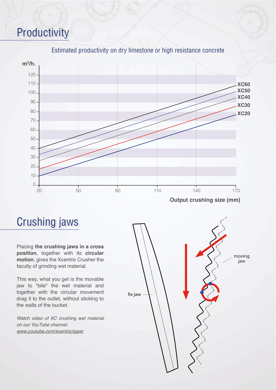# Productivity



#### Estimated productivity on dry limestone or high resistance concrete

### Crushing jaws

Placing **the crushing jaws in a cross position**, together with its **circular motion**, gives the Xcentric Crusher the faculty of grinding wet material.

This way, what you get is the movable jaw to "bite" the wet material and together with the circular movement drag it to the outlet, without sticking to the walls of the bucket.

*Watch video of XC crushing wet material on our YouTube channel: www.youtube.com/xcentricripper*